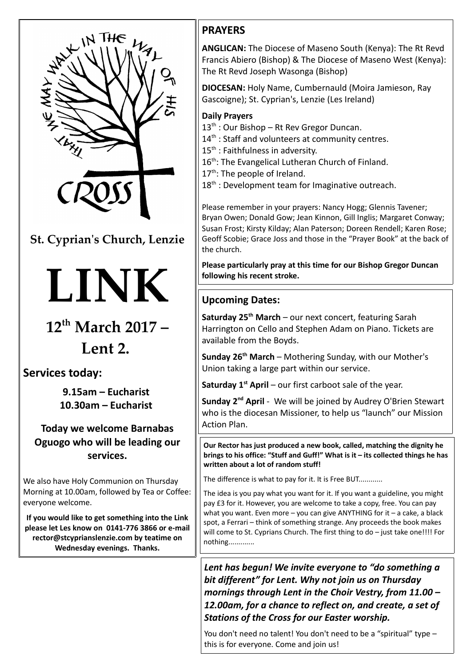

**St. Cyprian's Church, Lenzie**

# **LINK**

## **12th March 2017 –**

### **Lent 2.**

#### **Services today:**

**9.15am – Eucharist 10.30am – Eucharist** 

#### **Today we welcome Barnabas Oguogo who will be leading our services.**

We also have Holy Communion on Thursday Morning at 10.00am, followed by Tea or Coffee: everyone welcome.

**If you would like to get something into the Link please let Les know on 0141-776 3866 or e-mail rector@stcyprianslenzie.com by teatime on Wednesday evenings. Thanks.**

#### **PRAYERS**

**ANGLICAN:** The Diocese of Maseno South (Kenya): The Rt Revd Francis Abiero (Bishop) & The Diocese of Maseno West (Kenya): The Rt Revd Joseph Wasonga (Bishop)

**DIOCESAN:** Holy Name, Cumbernauld (Moira Jamieson, Ray Gascoigne); St. Cyprian's, Lenzie (Les Ireland)

#### **Daily Prayers**

- $13<sup>th</sup>$ : Our Bishop Rt Rev Gregor Duncan.
- $14<sup>th</sup>$ : Staff and volunteers at community centres.
- 15<sup>th</sup> : Faithfulness in adversity.
- 16<sup>th</sup>: The Evangelical Lutheran Church of Finland.
- $17<sup>th</sup>$ : The people of Ireland.
- $18<sup>th</sup>$ : Development team for Imaginative outreach.

Please remember in your prayers: Nancy Hogg; Glennis Tavener; Bryan Owen; Donald Gow; Jean Kinnon, Gill Inglis; Margaret Conway; Susan Frost; Kirsty Kilday; Alan Paterson; Doreen Rendell; Karen Rose; Geoff Scobie; Grace Joss and those in the "Prayer Book" at the back of the church.

**Please particularly pray at this time for our Bishop Gregor Duncan following his recent stroke.**

#### **Upcoming Dates:**

**Saturday 25th March** – our next concert, featuring Sarah Harrington on Cello and Stephen Adam on Piano. Tickets are available from the Boyds.

**Sunday 26th March** – Mothering Sunday, with our Mother's Union taking a large part within our service.

**Saturday 1st April** – our first carboot sale of the year.

**Sunday 2nd April** - We will be joined by Audrey O'Brien Stewart who is the diocesan Missioner, to help us "launch" our Mission Action Plan.

**Our Rector has just produced a new book, called, matching the dignity he brings to his office: "Stuff and Guff!" What is it – its collected things he has written about a lot of random stuff!**

The difference is what to pay for it. It is Free BUT............

The idea is you pay what you want for it. If you want a guideline, you might pay £3 for it. However, you are welcome to take a copy, free. You can pay what you want. Even more – you can give ANYTHING for it – a cake, a black spot, a Ferrari – think of something strange. Any proceeds the book makes will come to St. Cyprians Church. The first thing to do – just take one!!!! For nothing.............

*Lent has begun! We invite everyone to "do something a bit different" for Lent. Why not join us on Thursday mornings through Lent in the Choir Vestry, from 11.00 – 12.00am, for a chance to reflect on, and create, a set of Stations of the Cross for our Easter worship.*

You don't need no talent! You don't need to be a "spiritual" type – this is for everyone. Come and join us!